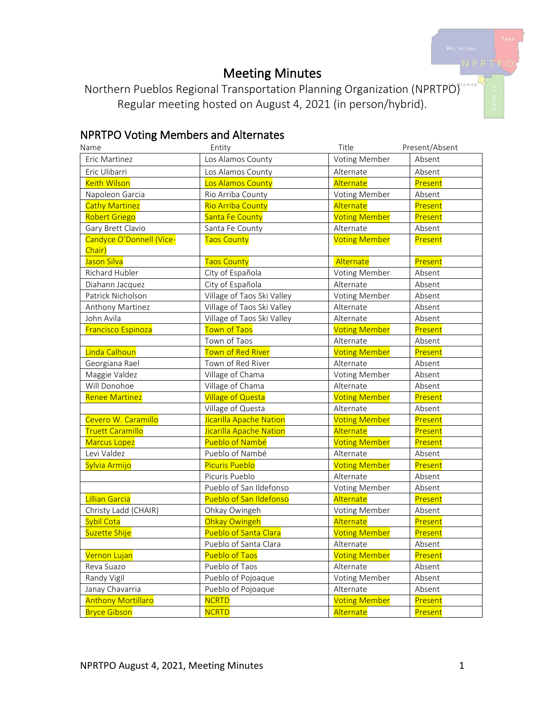# Meeting Minutes

Northern Pueblos Regional Transportation Planning Organization (NPRTPO) Regular meeting hosted on August 4, 2021 (in person/hybrid).

# NPRTPO Voting Members and Alternates

| Name                      | Entity                     | Title                | Present/Absent |
|---------------------------|----------------------------|----------------------|----------------|
| Eric Martinez             | Los Alamos County          | Voting Member        | Absent         |
| Eric Ulibarri             | Los Alamos County          | Alternate            | Absent         |
| <b>Keith Wilson</b>       | Los Alamos County          | Alternate            | Present        |
| Napoleon Garcia           | Rio Arriba County          | <b>Voting Member</b> | Absent         |
| <b>Cathy Martinez</b>     | Rio Arriba County          | Alternate            | Present        |
| Robert Griego             | Santa Fe County            | <b>Voting Member</b> | Present        |
| Gary Brett Clavio         | Santa Fe County            | Alternate            | Absent         |
| Candyce O'Donnell (Vice-  | <b>Taos County</b>         | <b>Voting Member</b> | Present        |
| Chair)                    |                            |                      |                |
| Jason Silva               | <b>Taos County</b>         | Alternate            | Present        |
| Richard Hubler            | City of Española           | Voting Member        | Absent         |
| Diahann Jacquez           | City of Española           | Alternate            | Absent         |
| Patrick Nicholson         | Village of Taos Ski Valley | Voting Member        | Absent         |
| Anthony Martinez          | Village of Taos Ski Valley | Alternate            | Absent         |
| John Avila                | Village of Taos Ski Valley | Alternate            | Absent         |
| <b>Francisco Espinoza</b> | <b>Town of Taos</b>        | <b>Voting Member</b> | Present        |
|                           | Town of Taos               | Alternate            | Absent         |
| Linda Calhoun             | Town of Red River          | <b>Voting Member</b> | Present        |
| Georgiana Rael            | Town of Red River          | Alternate            | Absent         |
| Maggie Valdez             | Village of Chama           | Voting Member        | Absent         |
| Will Donohoe              | Village of Chama           | Alternate            | Absent         |
| <b>Renee Martinez</b>     | <b>Village of Questa</b>   | <b>Voting Member</b> | Present        |
|                           | Village of Questa          | Alternate            | Absent         |
| Cevero W. Caramillo       | Jicarilla Apache Nation    | <b>Voting Member</b> | Present        |
| <b>Truett Caramillo</b>   | Jicarilla Apache Nation    | Alternate            | Present        |
| <b>Marcus Lopez</b>       | Pueblo of Nambé            | <b>Voting Member</b> | Present        |
| Levi Valdez               | Pueblo of Nambé            | Alternate            | Absent         |
| Sylvia Armijo             | <b>Picuris Pueblo</b>      | <b>Voting Member</b> | Present        |
|                           | Picuris Pueblo             | Alternate            | Absent         |
|                           | Pueblo of San Ildefonso    | Voting Member        | Absent         |
| Lillian Garcia            | Pueblo of San Ildefonso    | Alternate            | Present        |
| Christy Ladd (CHAIR)      | Ohkay Owingeh              | Voting Member        | Absent         |
| Sybil Cota                | Ohkay Owingeh              | Alternate            | Present        |
| Suzette Shije             | Pueblo of Santa Clara      | <b>Voting Member</b> | Present        |
|                           | Pueblo of Santa Clara      | Alternate            | Absent         |
| Vernon Lujan              | <b>Pueblo of Taos</b>      | <b>Voting Member</b> | Present        |
| Reva Suazo                | Pueblo of Taos             | Alternate            | Absent         |
| Randy Vigil               | Pueblo of Pojoaque         | Voting Member        | Absent         |
| Janay Chavarria           | Pueblo of Pojoaque         | Alternate            | Absent         |
| <b>Anthony Mortillaro</b> | <b>NCRTD</b>               | <b>Voting Member</b> | Present        |
| <b>Bryce Gibson</b>       | <b>NCRTD</b>               | Alternate            | Present        |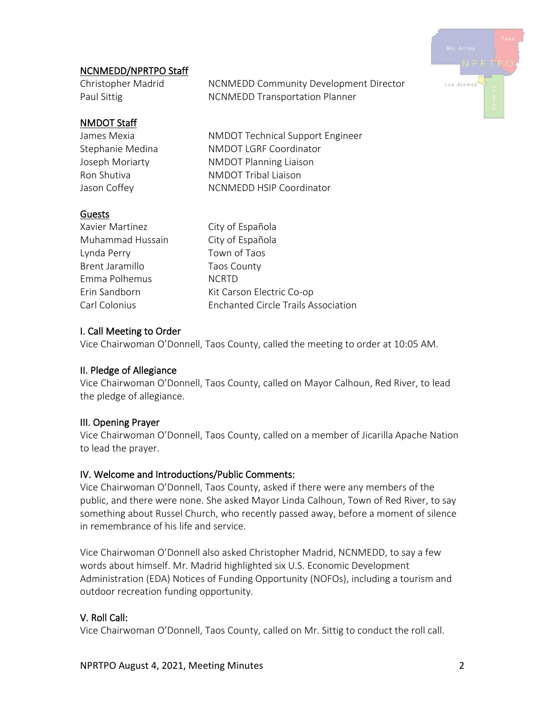# Los Alamo

# NCNMEDD/NPRTPO Staff

Christopher Madrid NCNMEDD Community Development Director Paul Sittig NCNMEDD Transportation Planner

#### NMDOT Staff

James Mexia NMDOT Technical Support Engineer Stephanie Medina NMDOT LGRF Coordinator Joseph Moriarty NMDOT Planning Liaison Ron Shutiva NMDOT Tribal Liaison Jason Coffey NCNMEDD HSIP Coordinator

#### Guests

Xavier Martinez **City of Española** Muhammad Hussain City of Española Lynda Perry Town of Taos Brent Jaramillo Taos County Emma Polhemus NCRTD Erin Sandborn Kit Carson Electric Co-op Carl Colonius Enchanted Circle Trails Association

# I. Call Meeting to Order

Vice Chairwoman O'Donnell, Taos County, called the meeting to order at 10:05 AM.

# II. Pledge of Allegiance

Vice Chairwoman O'Donnell, Taos County, called on Mayor Calhoun, Red River, to lead the pledge of allegiance.

# III. Opening Prayer

Vice Chairwoman O'Donnell, Taos County, called on a member of Jicarilla Apache Nation to lead the prayer.

# IV. Welcome and Introductions/Public Comments:

Vice Chairwoman O'Donnell, Taos County, asked if there were any members of the public, and there were none. She asked Mayor Linda Calhoun, Town of Red River, to say something about Russel Church, who recently passed away, before a moment of silence in remembrance of his life and service.

Vice Chairwoman O'Donnell also asked Christopher Madrid, NCNMEDD, to say a few words about himself. Mr. Madrid highlighted six U.S. Economic Development Administration (EDA) Notices of Funding Opportunity (NOFOs), including a tourism and outdoor recreation funding opportunity.

# V. Roll Call:

Vice Chairwoman O'Donnell, Taos County, called on Mr. Sittig to conduct the roll call.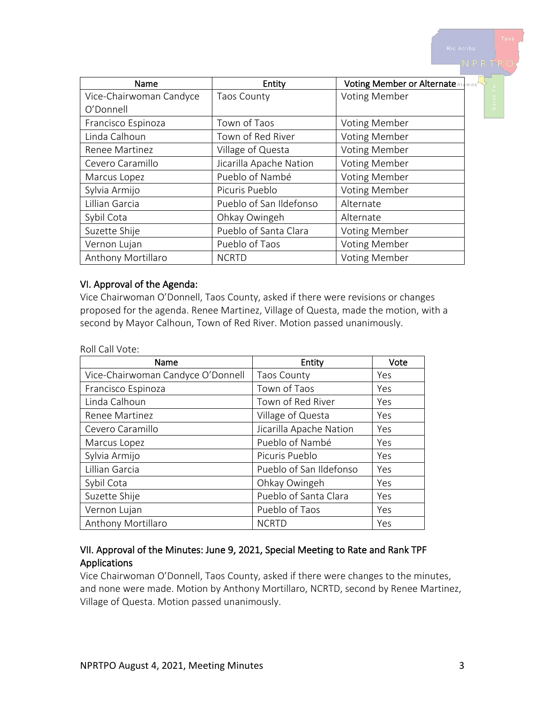| Name                    | Entity                  | Voting Member or Alternate Alamos |
|-------------------------|-------------------------|-----------------------------------|
| Vice-Chairwoman Candyce | <b>Taos County</b>      | <b>Voting Member</b>              |
| O'Donnell               |                         |                                   |
| Francisco Espinoza      | Town of Taos            | <b>Voting Member</b>              |
| Linda Calhoun           | Town of Red River       | <b>Voting Member</b>              |
| Renee Martinez          | Village of Questa       | <b>Voting Member</b>              |
| Cevero Caramillo        | Jicarilla Apache Nation | <b>Voting Member</b>              |
| Marcus Lopez            | Pueblo of Nambé         | <b>Voting Member</b>              |
| Sylvia Armijo           | Picuris Pueblo          | <b>Voting Member</b>              |
| Lillian Garcia          | Pueblo of San Ildefonso | Alternate                         |
| Sybil Cota              | Ohkay Owingeh           | Alternate                         |
| Suzette Shije           | Pueblo of Santa Clara   | <b>Voting Member</b>              |
| Vernon Lujan            | Pueblo of Taos          | <b>Voting Member</b>              |
| Anthony Mortillaro      | <b>NCRTD</b>            | <b>Voting Member</b>              |

#### VI. Approval of the Agenda:

Vice Chairwoman O'Donnell, Taos County, asked if there were revisions or changes proposed for the agenda. Renee Martinez, Village of Questa, made the motion, with a second by Mayor Calhoun, Town of Red River. Motion passed unanimously.

Roll Call Vote:

| Name                              | Entity                  | Vote |
|-----------------------------------|-------------------------|------|
| Vice-Chairwoman Candyce O'Donnell | Taos County             | Yes  |
| Francisco Espinoza                | Town of Taos            | Yes  |
| Linda Calhoun                     | Town of Red River       | Yes  |
| Renee Martinez                    | Village of Questa       | Yes  |
| Cevero Caramillo                  | Jicarilla Apache Nation | Yes  |
| Marcus Lopez                      | Pueblo of Nambé         | Yes  |
| Sylvia Armijo                     | Picuris Pueblo          | Yes  |
| Lillian Garcia                    | Pueblo of San Ildefonso | Yes  |
| Sybil Cota                        | Ohkay Owingeh           | Yes  |
| Suzette Shije                     | Pueblo of Santa Clara   | Yes  |
| Vernon Lujan                      | Pueblo of Taos          | Yes  |
| Anthony Mortillaro                | <b>NCRTD</b>            | Yes  |

#### VII. Approval of the Minutes: June 9, 2021, Special Meeting to Rate and Rank TPF Applications

Vice Chairwoman O'Donnell, Taos County, asked if there were changes to the minutes, and none were made. Motion by Anthony Mortillaro, NCRTD, second by Renee Martinez, Village of Questa. Motion passed unanimously.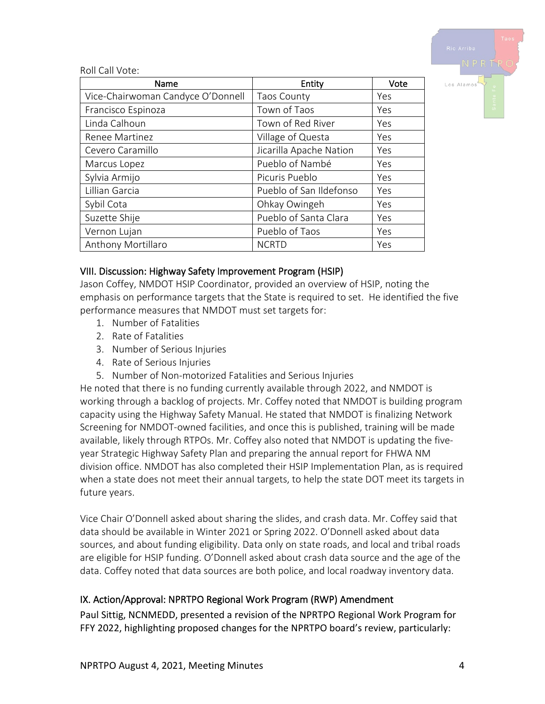

Roll Call Vote:

| Name                              | Entity                  | Vote |
|-----------------------------------|-------------------------|------|
| Vice-Chairwoman Candyce O'Donnell | <b>Taos County</b>      | Yes  |
| Francisco Espinoza                | Town of Taos            | Yes  |
| Linda Calhoun                     | Town of Red River       | Yes  |
| Renee Martinez                    | Village of Questa       | Yes  |
| Cevero Caramillo                  | Jicarilla Apache Nation | Yes  |
| Marcus Lopez                      | Pueblo of Nambé         | Yes  |
| Sylvia Armijo                     | Picuris Pueblo          | Yes  |
| Lillian Garcia                    | Pueblo of San Ildefonso | Yes  |
| Sybil Cota                        | Ohkay Owingeh           | Yes  |
| Suzette Shije                     | Pueblo of Santa Clara   | Yes  |
| Vernon Lujan                      | Pueblo of Taos          | Yes  |
| Anthony Mortillaro                | <b>NCRTD</b>            | Yes  |

#### VIII. Discussion: Highway Safety Improvement Program (HSIP)

Jason Coffey, NMDOT HSIP Coordinator, provided an overview of HSIP, noting the emphasis on performance targets that the State is required to set. He identified the five performance measures that NMDOT must set targets for:

- 1. Number of Fatalities
- 2. Rate of Fatalities
- 3. Number of Serious Injuries
- 4. Rate of Serious Injuries
- 5. Number of Non-motorized Fatalities and Serious Injuries

He noted that there is no funding currently available through 2022, and NMDOT is working through a backlog of projects. Mr. Coffey noted that NMDOT is building program capacity using the Highway Safety Manual. He stated that NMDOT is finalizing Network Screening for NMDOT-owned facilities, and once this is published, training will be made available, likely through RTPOs. Mr. Coffey also noted that NMDOT is updating the fiveyear Strategic Highway Safety Plan and preparing the annual report for FHWA NM division office. NMDOT has also completed their HSIP Implementation Plan, as is required when a state does not meet their annual targets, to help the state DOT meet its targets in future years.

Vice Chair O'Donnell asked about sharing the slides, and crash data. Mr. Coffey said that data should be available in Winter 2021 or Spring 2022. O'Donnell asked about data sources, and about funding eligibility. Data only on state roads, and local and tribal roads are eligible for HSIP funding. O'Donnell asked about crash data source and the age of the data. Coffey noted that data sources are both police, and local roadway inventory data.

# IX. Action/Approval: NPRTPO Regional Work Program (RWP) Amendment

Paul Sittig, NCNMEDD, presented a revision of the NPRTPO Regional Work Program for FFY 2022, highlighting proposed changes for the NPRTPO board's review, particularly: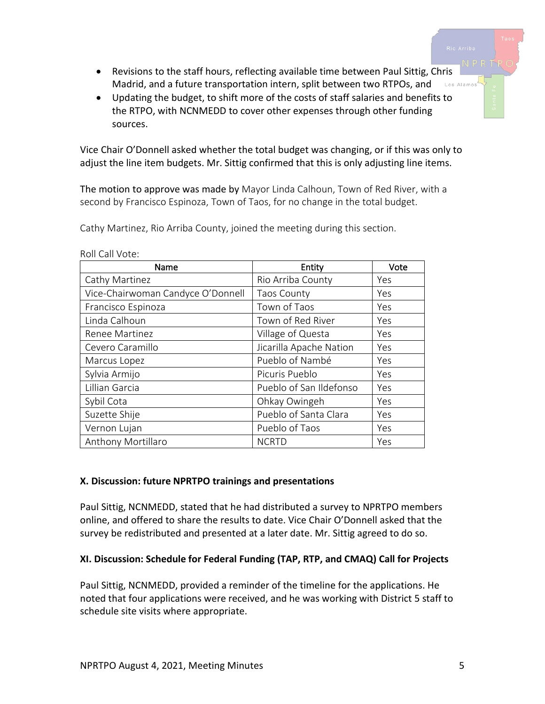- Revisions to the staff hours, reflecting available time between Paul Sittig, Chris Madrid, and a future transportation intern, split between two RTPOs, and Los Alamos
- Updating the budget, to shift more of the costs of staff salaries and benefits to the RTPO, with NCNMEDD to cover other expenses through other funding sources.

Vice Chair O'Donnell asked whether the total budget was changing, or if this was only to adjust the line item budgets. Mr. Sittig confirmed that this is only adjusting line items.

The motion to approve was made by Mayor Linda Calhoun, Town of Red River, with a second by Francisco Espinoza, Town of Taos, for no change in the total budget.

Cathy Martinez, Rio Arriba County, joined the meeting during this section.

| Name                              | Entity                  | Vote |
|-----------------------------------|-------------------------|------|
| Cathy Martinez                    | Rio Arriba County       | Yes  |
| Vice-Chairwoman Candyce O'Donnell | <b>Taos County</b>      | Yes  |
| Francisco Espinoza                | Town of Taos            | Yes  |
| Linda Calhoun                     | Town of Red River       | Yes  |
| Renee Martinez                    | Village of Questa       | Yes  |
| Cevero Caramillo                  | Jicarilla Apache Nation | Yes  |
| Marcus Lopez                      | Pueblo of Nambé         | Yes  |
| Sylvia Armijo                     | Picuris Pueblo          | Yes  |
| Lillian Garcia                    | Pueblo of San Ildefonso | Yes  |
| Sybil Cota                        | Ohkay Owingeh           | Yes  |
| Suzette Shije                     | Pueblo of Santa Clara   | Yes  |
| Vernon Lujan                      | Pueblo of Taos          | Yes  |
| Anthony Mortillaro                | <b>NCRTD</b>            | Yes  |

Roll Call Vote:

#### **X. Discussion: future NPRTPO trainings and presentations**

Paul Sittig, NCNMEDD, stated that he had distributed a survey to NPRTPO members online, and offered to share the results to date. Vice Chair O'Donnell asked that the survey be redistributed and presented at a later date. Mr. Sittig agreed to do so.

#### **XI. Discussion: Schedule for Federal Funding (TAP, RTP, and CMAQ) Call for Projects**

Paul Sittig, NCNMEDD, provided a reminder of the timeline for the applications. He noted that four applications were received, and he was working with District 5 staff to schedule site visits where appropriate.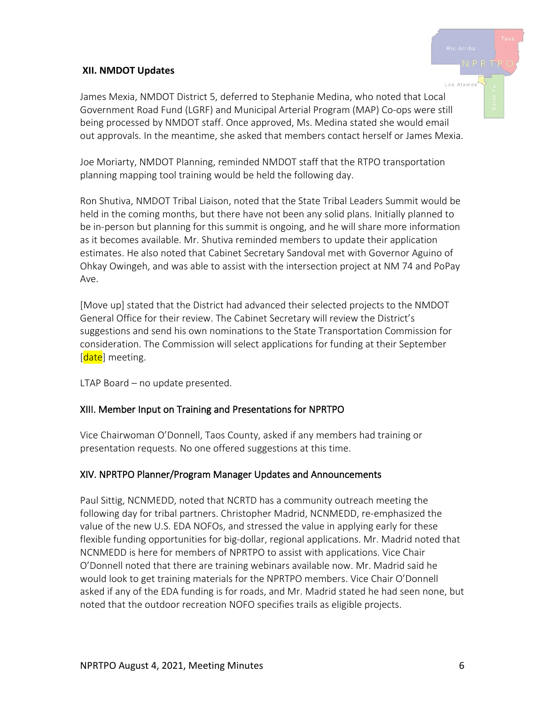#### **XII. NMDOT Updates**

James Mexia, NMDOT District 5, deferred to Stephanie Medina, who noted that Local Government Road Fund (LGRF) and Municipal Arterial Program (MAP) Co-ops were still being processed by NMDOT staff. Once approved, Ms. Medina stated she would email out approvals. In the meantime, she asked that members contact herself or James Mexia.

Joe Moriarty, NMDOT Planning, reminded NMDOT staff that the RTPO transportation planning mapping tool training would be held the following day.

Ron Shutiva, NMDOT Tribal Liaison, noted that the State Tribal Leaders Summit would be held in the coming months, but there have not been any solid plans. Initially planned to be in-person but planning for this summit is ongoing, and he will share more information as it becomes available. Mr. Shutiva reminded members to update their application estimates. He also noted that Cabinet Secretary Sandoval met with Governor Aguino of Ohkay Owingeh, and was able to assist with the intersection project at NM 74 and PoPay Ave.

[Move up] stated that the District had advanced their selected projects to the NMDOT General Office for their review. The Cabinet Secretary will review the District's suggestions and send his own nominations to the State Transportation Commission for consideration. The Commission will select applications for funding at their September [date] meeting.

LTAP Board – no update presented.

#### XIII. Member Input on Training and Presentations for NPRTPO

Vice Chairwoman O'Donnell, Taos County, asked if any members had training or presentation requests. No one offered suggestions at this time.

#### XIV. NPRTPO Planner/Program Manager Updates and Announcements

Paul Sittig, NCNMEDD, noted that NCRTD has a community outreach meeting the following day for tribal partners. Christopher Madrid, NCNMEDD, re-emphasized the value of the new U.S. EDA NOFOs, and stressed the value in applying early for these flexible funding opportunities for big-dollar, regional applications. Mr. Madrid noted that NCNMEDD is here for members of NPRTPO to assist with applications. Vice Chair O'Donnell noted that there are training webinars available now. Mr. Madrid said he would look to get training materials for the NPRTPO members. Vice Chair O'Donnell asked if any of the EDA funding is for roads, and Mr. Madrid stated he had seen none, but noted that the outdoor recreation NOFO specifies trails as eligible projects.

los Alamo